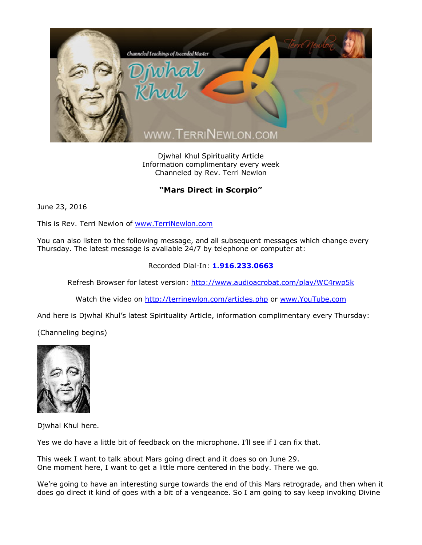

Djwhal Khul Spirituality Article Information complimentary every week Channeled by Rev. Terri Newlon

## **"Mars Direct in Scorpio"**

June 23, 2016

This is Rev. Terri Newlon of [www.TerriNewlon.com](http://www.terrinewlon.com/)

You can also listen to the following message, and all subsequent messages which change every Thursday. The latest message is available 24/7 by telephone or computer at:

## Recorded Dial-In: **1.916.233.0663**

Refresh Browser for latest version: <http://www.audioacrobat.com/play/WC4rwp5k>

Watch the video on <http://terrinewlon.com/articles.php> or [www.YouTube.com](http://www.youtube.com/)

And here is Djwhal Khul's latest Spirituality Article, information complimentary every Thursday:

(Channeling begins)



Djwhal Khul here.

Yes we do have a little bit of feedback on the microphone. I'll see if I can fix that.

This week I want to talk about Mars going direct and it does so on June 29. One moment here, I want to get a little more centered in the body. There we go.

We're going to have an interesting surge towards the end of this Mars retrograde, and then when it does go direct it kind of goes with a bit of a vengeance. So I am going to say keep invoking Divine